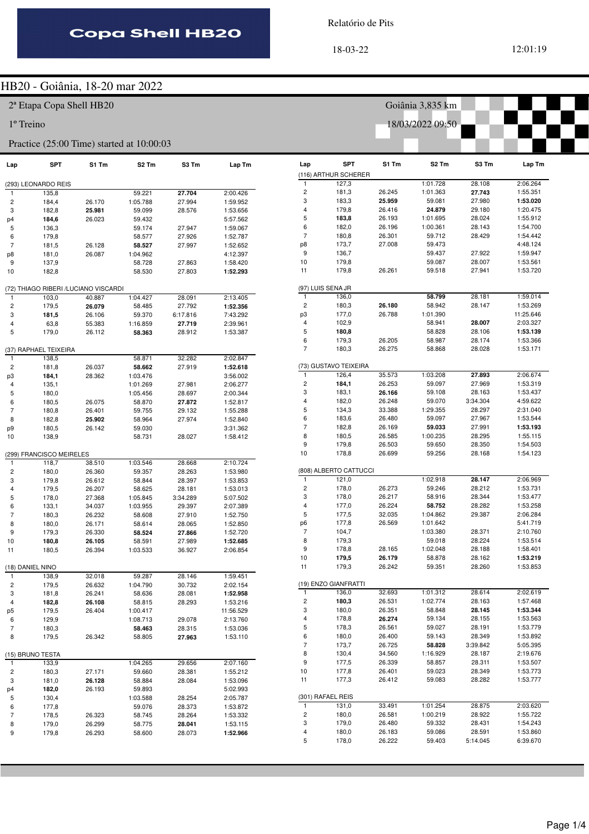Relatório de Pits

18-03-22 12:01:19

#### HB20 - Goiânia, 18-20 mar 2022

2ª Etapa Copa Shell HB20

1º Treino

#### Practice (25:00 Time) started at 10:00:03

| Lap            | SPT                                  | S1 Tm  | S2 Tm                | S3 Tm            | Lap Tm               |
|----------------|--------------------------------------|--------|----------------------|------------------|----------------------|
|                |                                      |        |                      |                  |                      |
|                | (293) LEONARDO REIS                  |        |                      |                  |                      |
| 1              | 135,8                                |        | 59.221               | 27.704           | 2:00.426             |
| 2              | 184,4                                | 26.170 | 1:05.788             | 27.994           | 1:59.952             |
| 3              | 182,8                                | 25.981 | 59.099               | 28.576           | 1:53.656             |
| p4             | 184,6                                | 26.023 | 59.432               |                  | 5:57.562             |
| 5<br>6         | 136,3                                |        | 59.174<br>58.577     | 27.947<br>27.926 | 1:59.067<br>1:52.787 |
| $\overline{7}$ | 179,8<br>181,5                       | 26.128 | 58.527               | 27.997           | 1:52.652             |
| p8             | 181,0                                | 26.087 | 1:04.962             |                  | 4:12.397             |
| 9              | 137,9                                |        | 58.728               | 27.863           | 1:58.420             |
| 10             | 182,8                                |        | 58.530               | 27.803           | 1:52.293             |
|                |                                      |        |                      |                  |                      |
|                | (72) THIAGO RIBERI /LUCIANO VISCARDI |        |                      |                  |                      |
| 1              | 103,0                                | 40.887 | 1:04.427             | 28.091           | 2:13.405             |
| 2              | 179,5                                | 26.079 | 58.485               | 27.792           | 1:52.356             |
| 3              | 181,5                                | 26.106 | 59.370               | 6:17.816         | 7:43.292             |
| 4              | 63,8                                 | 55.383 | 1:16.859             | 27.719           | 2:39.961             |
| 5              | 179,0                                | 26.112 | 58.363               | 28.912           | 1:53.387             |
|                |                                      |        |                      |                  |                      |
|                | (37) RAPHAEL TEIXEIRA                |        |                      |                  |                      |
|                | 138,5                                |        | 58.871               | 32.282           | 2:02.847             |
| 2              | 181,8                                | 26.037 | 58.662               | 27.919           | 1:52.618             |
| pЗ             | 184,1                                | 28.362 | 1:03.476<br>1:01.269 |                  | 3:56.002<br>2:06.277 |
| 4<br>5         | 135,1<br>180,0                       |        | 1:05.456             | 27.981<br>28.697 | 2:00.344             |
| 6              | 180,5                                | 26.075 | 58.870               | 27.872           | 1:52.817             |
| 7              | 180,8                                | 26.401 | 59.755               | 29.132           | 1:55.288             |
| 8              | 182,8                                | 25.902 | 58.964               | 27.974           | 1:52.840             |
| p9             | 180,5                                | 26.142 | 59.030               |                  | 3:31.362             |
| 10             | 138,9                                |        | 58.731               | 28.027           | 1:58.412             |
|                |                                      |        |                      |                  |                      |
|                | (299) FRANCISCO MEIRELES             |        |                      |                  |                      |
| 1              | 118,7                                | 38.510 | 1:03.546             | 28.668           | 2:10.724             |
| 2              | 180,0                                | 26.360 | 59.357               | 28.263           | 1:53.980             |
| 3              | 179,8                                | 26.612 | 58.844               | 28.397           | 1:53.853             |
| 4              | 179,5                                | 26.207 | 58.625               | 28.181           | 1:53.013             |
| 5              | 178,0                                | 27.368 | 1:05.845             | 3:34.289         | 5:07.502             |
| 6              | 133,1                                | 34.037 | 1:03.955             | 29.397           | 2:07.389             |
| 7              | 180,3                                | 26.232 | 58.608               | 27.910           | 1:52.750             |
| 8              | 180,0                                | 26.171 | 58.614               | 28.065           | 1:52.850             |
| 9              | 179,3                                | 26.330 | 58.524               | 27.866           | 1:52.720             |
| 10             | 180,8                                | 26.105 | 58.591               | 27.989           | 1:52.685             |
| 11             | 180,5                                | 26.394 | 1:03.533             | 36.927           | 2:06.854             |
|                | (18) DANIEL NINO                     |        |                      |                  |                      |
| 1              | 138,9                                | 32.018 | 59.287               | 28.146           | 1:59.451             |
| 2              | 179,5                                | 26.632 | 1:04.790             | 30.732           | 2:02.154             |
| 3              | 181,8                                | 26.241 | 58.636               | 28.081           | 1:52.958             |
| 4              | 182,8                                | 26.108 | 58.815               | 28.293           | 1:53.216             |
| p5             | 179,5                                | 26.404 | 1:00.417             |                  | 11:56.529            |
| 6              | 129,9                                |        | 1:08.713             | 29.078           | 2:13.760             |
| 7              | 180,3                                |        | 58.463               | 28.315           | 1:53.036             |
| 8              | 179,5                                | 26.342 | 58.805               | 27.963           | 1:53.110             |
|                |                                      |        |                      |                  |                      |
|                | (15) BRUNO TESTA                     |        |                      |                  |                      |
| 1              | 133,9                                |        | 1:04.265             | 29.656           | 2:07.160             |
| 2              | 180,3                                | 27.171 | 59.660               | 28.381           | 1:55.212             |
| 3              | 181,0                                | 26.128 | 58.884               | 28.084           | 1:53.096             |
| p4             | 182,0                                | 26.193 | 59.893               |                  | 5:02.993             |
| 5              | 130,4                                |        | 1:03.588             | 28.254           | 2:05.787             |
| 6              | 177,8                                |        | 59.076               | 28.373           | 1:53.872             |
| 7              | 178,5                                | 26.323 | 58.745               | 28.264           | 1:53.332             |
| 8              | 179,0                                | 26.299 | 58.775               | 28.041           | 1:53.115             |
| 9              | 179,8                                | 26.293 | 58.600               | 28.073           | 1:52.966             |
|                |                                      |        |                      |                  |                      |

| Lap            | <b>SPT</b><br>(116) ARTHUR SCHERER | S1 Tm            | S <sub>2</sub> Tm | S3 Tm              | Lap Tm               |
|----------------|------------------------------------|------------------|-------------------|--------------------|----------------------|
| 1              | 127,3                              |                  | 1:01.728          | 28.108             | 2:06.264             |
| 2              | 181,3                              | 26.245           | 1:01.363          | 27.743             | 1:55.351             |
| 3              | 183,3                              | 25.959           | 59.081            | 27.980             | 1:53.020             |
| 4              | 179,8                              | 26.416           | 24.879            | 29.180             | 1:20.475             |
| 5              | 183,8                              | 26.193           | 1:01.695          | 28.024             | 1:55.912             |
| 6              | 182,0                              | 26.196           | 1:00.361          | 28.143             | 1:54.700             |
| $\overline{7}$ | 180,8                              | 26.301           | 59.712            | 28.429             | 1:54.442             |
| p8             | 173,7                              | 27.008           | 59.473            |                    | 4:48.124             |
| 9              | 136,7                              |                  | 59.437            | 27.922             | 1:59.947             |
| 10             | 179,8                              |                  | 59.087            | 28.007             | 1:53.561             |
| 11             | 179,8                              | 26.261           | 59.518            | 27.941             | 1:53.720             |
|                | (97) LUIS SENA JR                  |                  |                   |                    |                      |
| 1              | 136,0                              |                  | 58.799            | 28.181             | 1:59.014             |
| 2              | 180,3                              | 26.180           | 58.942            | 28.147             | 1:53.269             |
| p3             | 177,0                              | 26.788           | 1:01.390          |                    | 11:25.646            |
| 4              | 102,9                              |                  | 58.941            | 28.007             | 2:03.327             |
| 5              | 180,8                              |                  | 58.828            | 28.106             | 1:53.139             |
| 6              | 179,3                              | 26.205           | 58.987            | 28.174             | 1:53.366             |
| 7              | 180,3                              | 26.275           | 58.868            | 28.028             | 1:53.171             |
|                | (73) GUSTAVO TEIXEIRA              |                  |                   |                    |                      |
| 1              | 126,4                              | 35.573           | 1:03.208          | 27.893             | 2:06.674             |
| 2              | 184,1                              | 26.253           | 59.097<br>59.108  | 27.969             | 1:53.319             |
| 3<br>4         | 183,1<br>182,0                     | 26.166<br>26.248 | 59.070            | 28.163<br>3:34.304 | 1:53.437<br>4:59.622 |
| 5              | 134,3                              | 33.388           | 1:29.355          | 28.297             | 2:31.040             |
| 6              | 183,6                              | 26.480           | 59.097            | 27.967             | 1:53.544             |
| $\overline{7}$ | 182,8                              | 26.169           | 59.033            | 27.991             | 1:53.193             |
| 8              | 180,5                              | 26.585           | 1:00.235          | 28.295             | 1:55.115             |
| 9              | 179,8                              | 26.503           | 59.650            | 28.350             | 1:54.503             |
| 10             | 178,8                              | 26.699           | 59.256            | 28.168             | 1:54.123             |
|                | (808) ALBERTO CATTUCCI             |                  |                   |                    |                      |
| 1              | 121,0                              |                  | 1:02.918          | 28.147             | 2:06.969             |
| 2              | 178,0                              | 26.273           | 59.246            | 28.212             | 1:53.731             |
| 3              | 178,0                              | 26.217           | 58.916            | 28.344             | 1:53.477             |
| 4              | 177,0                              | 26.224           | 58.752            | 28.282             | 1:53.258             |
| 5              | 177,5                              | 32.035           | 1:04.862          | 29.387             | 2:06.284             |
| p <sub>6</sub> | 177,8                              | 26.569           | 1:01.642          |                    | 5:41.719             |
| 7              | 104,7                              |                  | 1:03.380          | 28.371             | 2:10.760             |
| 8              | 179,3                              |                  | 59.018            | 28.224             | 1:53.514             |
| 9              | 178,8                              | 28.165           | 1:02.048          | 28.188             | 1:58.401             |
| 10             | 179,5                              | 26.179           | 58.878            | 28.162             | 1:53.219             |
| 11             | 179,3                              | 26.242           | 59.351            | 28.260             | 1:53.853             |
|                | (19) ENZO GIANFRATTI               |                  |                   |                    |                      |
| 1              | 136,0                              | 32.693           | 1:01.312          | 28.614             | 2:02.619             |
| 2              | 180,3                              | 26.531           | 1:02.774          | 28.163             | 1:57.468             |
| 3              | 180,0                              | 26.351           | 58.848            | 28.145             | 1:53.344             |
| 4              | 178,8                              | 26.274           | 59.134            | 28.155             | 1:53.563             |
| 5              | 178,3                              | 26.561           | 59.027            | 28.191             | 1:53.779             |
| 6              | 180,0                              | 26.400           | 59.143            | 28.349             | 1:53.892             |
| 7              | 173,7                              | 26.725           | 58.828            | 3:39.842           | 5:05.395             |
| 8              | 130,4                              | 34.560           | 1:16.929          | 28.187             | 2:19.676             |
| 9              | 177,5                              | 26.339           | 58.857            | 28.311             | 1:53.507             |
| 10<br>11       | 177,8<br>177,3                     | 26.401<br>26.412 | 59.023<br>59.083  | 28.349<br>28.282   | 1:53.773<br>1:53.777 |
|                |                                    |                  |                   |                    |                      |
|                | (301) RAFAEL REIS                  |                  |                   |                    |                      |
| 1              | 131,0                              | 33.491           | 1:01.254          | 28.875             | 2:03.620             |
| 2              | 180,0                              | 26.581           | 1:00.219          | 28.922             | 1:55.722             |
| 3              | 179,0                              | 26.480           | 59.332            | 28.431             | 1:54.243             |
| 4              | 180,0                              | 26.183           | 59.086            | 28.591             | 1:53.860             |
| 5              | 178,0                              | 26.222           | 59.403            | 5:14.045           | 6:39.670             |

Goiânia 3,835 km

18/03/2022 09:50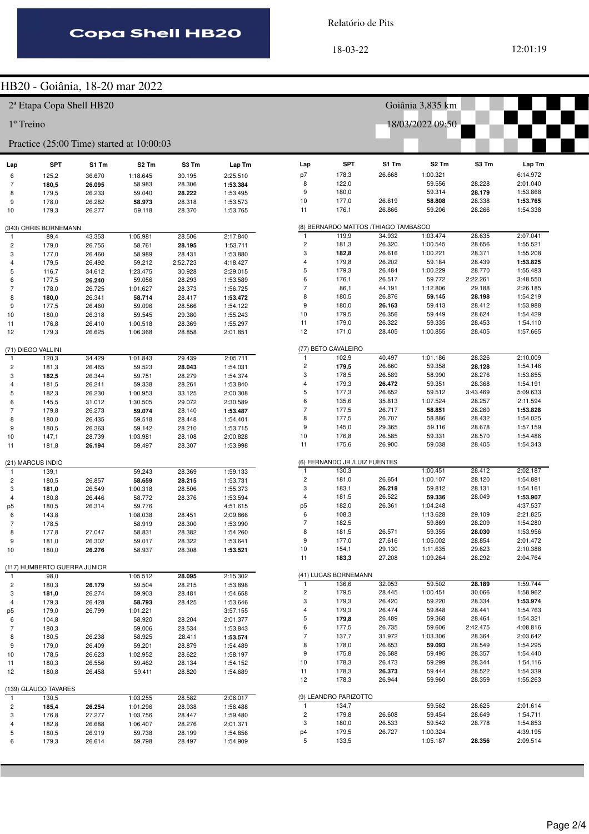Relatório de Pits

#### HB20 - Goiânia, 18-20 mar 2022

|                |                              |                                     | $111220 - \text{Optama}, 10-20 \text{ that } 2022$ |          |          |                |                                |                                      |                      |                  |                      |
|----------------|------------------------------|-------------------------------------|----------------------------------------------------|----------|----------|----------------|--------------------------------|--------------------------------------|----------------------|------------------|----------------------|
|                |                              | <sup>2ª</sup> Etapa Copa Shell HB20 |                                                    |          |          |                |                                |                                      | Goiânia 3,835 km     |                  |                      |
| 1º Treino      |                              |                                     |                                                    |          |          |                |                                |                                      | 18/03/2022 09:50     |                  |                      |
|                |                              |                                     | Practice (25:00 Time) started at 10:00:03          |          |          |                |                                |                                      |                      |                  |                      |
| Lap            | <b>SPT</b>                   | S1 Tm                               | S <sub>2</sub> Tm                                  | S3 Tm    | Lap Tm   | Lap            | <b>SPT</b>                     | S1 Tm                                | S <sub>2</sub> Tm    | S3 Tm            | Lap Tm               |
| 6              | 125,2                        | 36.670                              | 1:18.645                                           | 30.195   | 2:25.510 | p7             | 178,3                          | 26.668                               | 1:00.321             |                  | 6:14.972             |
| 7              | 180,5                        | 26.095                              | 58.983                                             | 28.306   | 1:53.384 | 8              | 122,0                          |                                      | 59.556               | 28.228           | 2:01.040             |
| 8              | 179,5                        | 26.233                              | 59.040                                             | 28.222   | 1:53.495 | 9              | 180,0                          |                                      | 59.314               | 28.179           | 1:53.868             |
| 9              | 178,0                        | 26.282                              | 58.973                                             | 28.318   | 1:53.573 | 10             | 177,0                          | 26.619                               | 58.808               | 28.338           | 1:53.765             |
| 10             | 179,3                        | 26.277                              | 59.118                                             | 28.370   | 1:53.765 | 11             | 176,1                          | 26.866                               | 59.206               | 28.266           | 1:54.338             |
|                | (343) CHRIS BORNEMANN        |                                     |                                                    |          |          |                |                                | (8) BERNARDO MATTOS /THIAGO TAMBASCO |                      |                  |                      |
| 1              | 89,4                         | 43.353                              | 1:05.981                                           | 28.506   | 2:17.840 | $\overline{1}$ | 119,9                          | 34.932                               | 1:03.474             | 28.635           | 2:07.041             |
| $\overline{c}$ | 179,0                        | 26.755                              | 58.761                                             | 28.195   | 1:53.711 | $\overline{c}$ | 181,3                          | 26.320                               | 1:00.545             | 28.656           | 1:55.521             |
| 3              | 177,0                        | 26.460                              | 58.989                                             | 28.431   | 1:53.880 | 3              | 182,8                          | 26.616                               | 1:00.221             | 28.371           | 1:55.208             |
| 4              | 179,5                        | 26.492                              | 59.212                                             | 2:52.723 | 4:18.427 | $\overline{4}$ | 179,8                          | 26.202                               | 59.184               | 28.439           | 1:53.825             |
| 5              | 116,7                        | 34.612                              | 1:23.475                                           | 30.928   | 2:29.015 | 5              | 179,3                          | 26.484                               | 1:00.229             | 28.770           | 1:55.483             |
|                |                              |                                     |                                                    |          |          | 6              |                                | 26.517                               | 59.772               |                  | 3:48.550             |
| 6              | 177,5                        | 26.240                              | 59.056                                             | 28.293   | 1:53.589 | $\overline{7}$ | 176,1                          |                                      |                      | 2:22.261         |                      |
| $\overline{7}$ | 178,0                        | 26.725                              | 1:01.627                                           | 28.373   | 1:56.725 |                | 86,1                           | 44.191                               | 1:12.806             | 29.188           | 2:26.185             |
| 8              | 180,0                        | 26.341                              | 58.714                                             | 28.417   | 1:53.472 | 8              | 180,5                          | 26.876                               | 59.145               | 28.198           | 1:54.219             |
| 9              | 177,5                        | 26.460                              | 59.096                                             | 28.566   | 1:54.122 | 9              | 180,0                          | 26.163                               | 59.413               | 28.412           | 1:53.988             |
| 10             | 180,0                        | 26.318                              | 59.545                                             | 29.380   | 1:55.243 | 10             | 179,5                          | 26.356                               | 59.449               | 28.624           | 1:54.429             |
| 11             | 176,8                        | 26.410                              | 1:00.518                                           | 28.369   | 1:55.297 | 11             | 179,0                          | 26.322                               | 59.335               | 28.453           | 1:54.110             |
| 12             | 179,3                        | 26.625                              | 1:06.368                                           | 28.858   | 2:01.851 | 12             | 171,0                          | 28.405                               | 1:00.855             | 28.405           | 1:57.665             |
|                | (71) DIEGO VALLINI           |                                     |                                                    |          |          |                | (77) BETO CAVALEIRO            |                                      |                      |                  |                      |
| -1             | 120,3                        | 34.429                              | 1:01.843                                           | 29.439   | 2:05.711 | $\overline{1}$ | 102,9                          | 40.497                               | 1:01.186             | 28.326           | 2:10.009             |
| $\overline{c}$ | 181,3                        | 26.465                              | 59.523                                             | 28.043   | 1:54.031 | $\overline{c}$ | 179,5                          | 26.660                               | 59.358               | 28.128           | 1:54.146             |
| 3              | 182,5                        | 26.344                              | 59.751                                             | 28.279   | 1:54.374 | 3              | 178,5                          | 26.589                               | 58.990               | 28.276           | 1:53.855             |
| 4              | 181,5                        | 26.241                              | 59.338                                             | 28.261   | 1:53.840 | $\overline{4}$ | 179,3                          | 26.472                               | 59.351               | 28.368           | 1:54.191             |
| 5              |                              | 26.230                              | 1:00.953                                           | 33.125   | 2:00.308 | 5              | 177,3                          | 26.652                               | 59.512               | 3:43.469         | 5:09.633             |
|                | 182,3                        |                                     |                                                    |          |          | 6              | 135,6                          | 35.813                               | 1:07.524             | 28.257           | 2:11.594             |
| 6              | 145,5                        | 31.012                              | 1:30.505                                           | 29.072   | 2:30.589 | $\overline{7}$ |                                |                                      |                      |                  |                      |
| 7              | 179,8                        | 26.273                              | 59.074                                             | 28.140   | 1:53.487 |                | 177,5                          | 26.717                               | 58.851               | 28.260           | 1:53.828             |
| 8              | 180,0                        | 26.435                              | 59.518                                             | 28.448   | 1:54.401 | 8              | 177,5                          | 26.707                               | 58.886               | 28.432           | 1:54.025             |
| 9              | 180,5                        | 26.363                              | 59.142                                             | 28.210   | 1:53.715 | 9              | 145,0                          | 29.365                               | 59.116               | 28.678           | 1:57.159             |
| 10             | 147,1                        | 28.739                              | 1:03.981                                           | 28.108   | 2:00.828 | 10             | 176,8                          | 26.585                               | 59.331               | 28.570           | 1:54.486             |
| 11             | 181,8                        | 26.194                              | 59.497                                             | 28.307   | 1:53.998 | 11             | 175,6                          | 26.900                               | 59.038               | 28.405           | 1:54.343             |
|                | (21) MARCUS INDIO            |                                     |                                                    |          |          |                | (6) FERNANDO JR / LUIZ FUENTES |                                      |                      |                  |                      |
| $\mathbf{1}$   | 139,1                        |                                     | 59.243                                             | 28.369   | 1:59.133 | $\mathbf{1}$   | 130,3                          |                                      | 1:00.451             | 28.412           | 2:02.187             |
| $\overline{c}$ | 180,5                        | 26.857                              | 58.659                                             | 28.215   | 1:53.731 | $\overline{c}$ | 181,0                          | 26.654                               | 1:00.107             | 28.120           | 1:54.881             |
| 3              | 181,0                        | 26.549                              | 1:00.318                                           | 28.506   | 1:55.373 | 3              | 183,1                          | 26.218                               | 59.812               | 28.131           | 1:54.161             |
| $\overline{4}$ | 180,8                        | 26.446                              | 58.772                                             | 28.376   | 1:53.594 | $\overline{4}$ | 181,5                          | 26.522                               | 59.336               | 28.049           | 1:53.907             |
| p5             | 180,5                        | 26.314                              | 59.776                                             |          | 4:51.615 | p <sub>5</sub> | 182,0                          | 26.361                               | 1:04.248             |                  | 4:37.537             |
| 6              | 143,8                        |                                     | 1:08.038                                           | 28.451   | 2:09.866 | 6              | 108,3                          |                                      | 1:13.628             | 29.109           | 2:21.825             |
| $\overline{7}$ | 178,5                        |                                     | 58.919                                             | 28.300   | 1:53.990 | $\overline{7}$ | 182,5                          |                                      | 59.869               | 28.209           | 1:54.280             |
|                |                              |                                     | 58.831                                             | 28.382   |          | 8              | 181,5                          | 26.571                               | 59.355               | 28.030           | 1:53.956             |
|                | 177,8                        | 27.047                              |                                                    |          | 1:54.260 | 9              |                                |                                      |                      |                  |                      |
| 9              | 181,0                        | 26.302                              | 59.017                                             | 28.322   | 1:53.641 |                | 177,0                          | 27.616                               | 1:05.002             | 28.854           | 2:01.472             |
| 10             | 180,0                        | 26.276                              | 58.937                                             | 28.308   | 1:53.521 | 10<br>11       | 154,1<br>183,3                 | 29.130<br>27.208                     | 1:11.635<br>1:09.264 | 29.623<br>28.292 | 2:10.388<br>2:04.764 |
|                | (117) HUMBERTO GUERRA JUNIOR |                                     |                                                    |          |          |                |                                |                                      |                      |                  |                      |
| $\mathbf{1}$   | 98,0                         |                                     | 1:05.512                                           | 28.095   | 2:15.302 |                | (41) LUCAS BORNEMANN           |                                      |                      |                  |                      |
| $\overline{c}$ | 180,3                        | 26.179                              | 59.504                                             | 28.215   | 1:53.898 | $\mathbf{1}$   | 136,6                          | 32.053                               | 59.502               | 28.189           | 1:59.744             |
| 3              | 181,0                        | 26.274                              | 59.903                                             | 28.481   | 1:54.658 | $\overline{c}$ | 179,5                          | 28.445                               | 1:00.451             | 30.066           | 1:58.962             |
| 4              | 179,3                        | 26.428                              | 58.793                                             | 28.425   | 1:53.646 | 3              | 179,3                          | 26.420                               | 59.220               | 28.334           | 1:53.974             |
| p5             | 179,0                        | 26.799                              | 1:01.221                                           |          | 3:57.155 | 4              | 179,3                          | 26.474                               | 59.848               | 28.441           | 1:54.763             |
| 6              | 104,8                        |                                     | 58.920                                             | 28.204   | 2:01.377 | 5              | 179,8                          | 26.489                               | 59.368               | 28.464           | 1:54.321             |
| $\overline{7}$ | 180,3                        |                                     | 59.006                                             | 28.534   | 1:53.843 | 6              | 177,5                          | 26.735                               | 59.606               | 2:42.475         | 4:08.816             |
| 8              | 180,5                        | 26.238                              | 58.925                                             | 28.411   | 1:53.574 | 7              | 137,7                          | 31.972                               | 1:03.306             | 28.364           | 2:03.642             |
| 9              | 179,0                        | 26.409                              | 59.201                                             | 28.879   | 1:54.489 | 8              | 178,0                          | 26.653                               | 59.093               | 28.549           | 1:54.295             |
| 10             | 178,5                        | 26.623                              | 1:02.952                                           | 28.622   | 1:58.197 | 9              | 175,8                          | 26.588                               | 59.495               | 28.357           | 1:54.440             |
|                |                              |                                     |                                                    |          |          | 10             | 178,3                          | 26.473                               | 59.299               | 28.344           | 1:54.116             |
| 11             | 180,3                        | 26.556                              | 59.462                                             | 28.134   | 1:54.152 | 11             | 178,3                          | 26.373                               | 59.444               | 28.522           | 1:54.339             |
|                | 180,8                        | 26.458                              | 59.411                                             | 28.820   | 1:54.689 | 12             | 178,3                          | 26.944                               | 59.960               | 28.359           | 1:55.263             |
| 12             |                              |                                     |                                                    |          |          |                |                                |                                      |                      |                  |                      |
|                | (139) GLAUCO TAVARES         |                                     |                                                    |          |          |                | (9) LEANDRO PARIZOTTO          |                                      |                      |                  |                      |
| $\mathbf{1}$   | 130,5                        |                                     | 1:03.255                                           | 28.582   | 2:06.017 |                |                                |                                      |                      |                  |                      |
| $\overline{c}$ | 185,4                        | 26.254                              | 1:01.296                                           | 28.938   | 1:56.488 | $\mathbf{1}$   | 134,7                          |                                      | 59.562               | 28.625           | 2:01.614             |
| 3              | 176,8                        | 27.277                              | 1:03.756                                           | 28.447   | 1:59.480 | $\overline{c}$ | 179,8                          | 26.608                               | 59.454               | 28.649           | 1:54.711             |
| 4              | 182,8                        | 26.688                              | 1:06.407                                           | 28.276   | 2:01.371 | 3              | 180,0                          | 26.533                               | 59.542               | 28.778           | 1:54.853             |
| 5              | 180,5                        | 26.919                              | 59.738                                             | 28.199   | 1:54.856 | p4             | 179,5                          | 26.727                               | 1:00.324             |                  | 4:39.195             |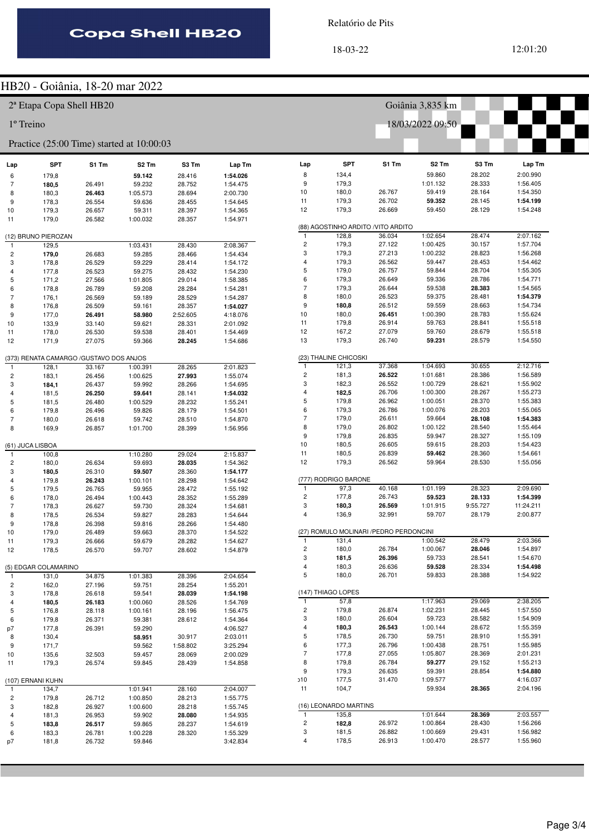Relatório de Pits

18-03-22 12:01:20

#### HB20 - Goiânia, 18-20 mar 2022

|                |                                     |                                         | HBZU - GOIANIA, 18-ZU MAT ZUZZ            |          |                      |                              |                       |                                         |                      |                  |                      |
|----------------|-------------------------------------|-----------------------------------------|-------------------------------------------|----------|----------------------|------------------------------|-----------------------|-----------------------------------------|----------------------|------------------|----------------------|
|                | <sup>2ª</sup> Etapa Copa Shell HB20 |                                         |                                           |          |                      |                              |                       |                                         | Goiânia 3,835 km     |                  |                      |
| 1º Treino      |                                     |                                         |                                           |          |                      |                              |                       |                                         | 18/03/2022 09:50     |                  |                      |
|                |                                     |                                         | Practice (25:00 Time) started at 10:00:03 |          |                      |                              |                       |                                         |                      |                  |                      |
| Lap            | <b>SPT</b>                          | S1 Tm                                   | S <sub>2</sub> Tm                         | S3 Tm    | Lap Tm               | Lap                          | <b>SPT</b>            | S1 Tm                                   | S <sub>2</sub> Tm    | S3 Tm            | Lap Tm               |
| 6              | 179,8                               |                                         | 59.142                                    | 28.416   | 1:54.026             | 8                            | 134,4                 |                                         | 59.860               | 28.202           | 2:00.990             |
| $\overline{7}$ | 180,5                               | 26.491                                  | 59.232                                    | 28.752   | 1:54.475             | 9                            | 179,3                 |                                         | 1:01.132             | 28.333           | 1:56.405             |
| 8              | 180,3                               | 26.463                                  | 1:05.573                                  | 28.694   | 2:00.730             | 10                           | 180,0                 | 26.767                                  | 59.419               | 28.164           | 1:54.350             |
| 9              | 178,3                               | 26.554                                  | 59.636                                    | 28.455   | 1:54.645             | 11                           | 179,3                 | 26.702                                  | 59.352               | 28.145           | 1:54.199             |
| 10             | 179,3                               | 26.657                                  | 59.311                                    | 28.397   | 1:54.365             | 12                           | 179,3                 | 26.669                                  | 59.450               | 28.129           | 1:54.248             |
| 11             | 179,0                               | 26.582                                  | 1:00.032                                  | 28.357   | 1:54.971             |                              |                       | (88) AGOSTINHO ARDITO / VITO ARDITO     |                      |                  |                      |
|                | (12) BRUNO PIEROZAN                 |                                         |                                           |          |                      | $\mathbf{1}$                 | 128,8                 | 36.034                                  | 1:02.654             | 28.474           | 2:07.162             |
| $\mathbf{1}$   | 129,5                               |                                         | 1:03.431                                  | 28.430   | 2:08.367             | $\overline{\mathbf{c}}$      | 179,3                 | 27.122                                  | 1:00.425             | 30.157           | 1:57.704             |
| $\overline{c}$ | 179,0                               | 26.683                                  | 59.285                                    | 28.466   | 1:54.434             | 3                            | 179,3                 | 27.213                                  | 1:00.232             | 28.823           | 1:56.268             |
| 3              | 178,8                               | 26.529                                  | 59.229                                    | 28.414   | 1:54.172             | $\overline{4}$               | 179,3                 | 26.562                                  | 59.447               | 28.453           | 1:54.462             |
| 4              | 177,8                               | 26.523                                  | 59.275                                    | 28.432   | 1:54.230             | 5                            | 179,0                 | 26.757                                  | 59.844               | 28.704           | 1:55.305             |
| 5              | 171,2                               | 27.566                                  | 1:01.805                                  | 29.014   | 1:58.385             | 6                            | 179,3                 | 26.649                                  | 59.336               | 28.786           | 1:54.771             |
| 6              | 178,8                               | 26.789                                  | 59.208                                    | 28.284   | 1:54.281             | $\overline{7}$               | 179,3                 | 26.644                                  | 59.538               | 28.383           | 1:54.565             |
| $\overline{7}$ | 176,1                               | 26.569                                  | 59.189                                    | 28.529   | 1:54.287             | 8                            | 180,0                 | 26.523                                  | 59.375               | 28.481           | 1:54.379             |
| 8              | 176,8                               | 26.509                                  | 59.161                                    | 28.357   | 1:54.027             | 9                            | 180,8                 | 26.512                                  | 59.559               | 28.663           | 1:54.734             |
| 9              | 177,0                               | 26.491                                  | 58.980                                    | 2:52.605 | 4:18.076             | 10                           | 180,0                 | 26.451                                  | 1:00.390             | 28.783           | 1:55.624             |
| 10             | 133,9                               | 33.140                                  | 59.621                                    | 28.331   | 2:01.092             | 11                           | 179,8                 | 26.914                                  | 59.763               | 28.841           | 1:55.518             |
| 11             | 178,0                               | 26.530                                  | 59.538                                    | 28.401   | 1:54.469             | 12                           | 167,2                 | 27.079                                  | 59.760               | 28.679           | 1:55.518             |
| 12             | 171,9                               | 27.075                                  | 59.366                                    | 28.245   | 1:54.686             | 13                           | 179,3                 | 26.740                                  | 59.231               | 28.579           | 1:54.550             |
|                |                                     | (373) RENATA CAMARGO /GUSTAVO DOS ANJOS |                                           |          |                      |                              | (23) THALINE CHICOSKI |                                         |                      |                  |                      |
| $\mathbf{1}$   | 128,1                               | 33.167                                  | 1:00.391                                  | 28.265   | 2:01.823             | $\mathbf{1}$                 | 121,3                 | 37.368                                  | 1:04.693             | 30.655           | 2:12.716             |
| $\overline{c}$ | 183,1                               | 26.456                                  | 1:00.625                                  | 27.993   | 1:55.074             | $\overline{\mathbf{c}}$      | 181,3                 | 26.522                                  | 1:01.681             | 28.386           | 1:56.589             |
| 3              | 184,1                               | 26.437                                  | 59.992                                    | 28.266   | 1:54.695             | 3                            | 182,3                 | 26.552                                  | 1:00.729             | 28.621           | 1:55.902             |
| 4              | 181,5                               | 26.250                                  | 59.641                                    | 28.141   | 1:54.032             | $\overline{4}$               | 182,5                 | 26.706                                  | 1:00.300             | 28.267           | 1:55.273             |
| 5              | 181,5                               | 26.480                                  | 1:00.529                                  | 28.232   | 1:55.241             | 5                            | 179,8                 | 26.962                                  | 1:00.051             | 28.370           | 1:55.383             |
| 6              | 179,8                               | 26.496                                  | 59.826                                    | 28.179   | 1:54.501             | 6                            | 179,3                 | 26.786                                  | 1:00.076             | 28.203           | 1:55.065             |
| $\overline{7}$ | 180,0                               | 26.618                                  | 59.742                                    | 28.510   | 1:54.870             | $\overline{7}$<br>8          | 179,0                 | 26.611<br>26.802                        | 59.664<br>1:00.122   | 28.108<br>28.540 | 1:54.383<br>1:55.464 |
| 8              | 169,9                               | 26.857                                  | 1:01.700                                  | 28.399   | 1:56.956             | 9                            | 179,0<br>179,8        | 26.835                                  | 59.947               | 28.327           | 1:55.109             |
|                | (61) JUCA LISBOA                    |                                         |                                           |          |                      | 10                           | 180,5                 | 26.605                                  | 59.615               | 28.203           | 1:54.423             |
| $\mathbf{1}$   | 100,8                               |                                         | 1:10.280                                  | 29.024   | 2:15.837             | 11                           | 180,5                 | 26.839                                  | 59.462               | 28.360           | 1:54.661             |
| $\overline{c}$ | 180,0                               | 26.634                                  | 59.693                                    | 28.035   | 1:54.362             | 12                           | 179,3                 | 26.562                                  | 59.964               | 28.530           | 1:55.056             |
| 3              | 180,5                               | 26.310                                  | 59.507                                    | 28.360   | 1:54.177             |                              |                       |                                         |                      |                  |                      |
| 4              | 179,8                               | 26.243                                  | 1:00.101                                  | 28.298   | 1:54.642             |                              | (777) RODRIGO BARONE  |                                         |                      |                  |                      |
| 5              | 179,5                               | 26.765                                  | 59.955                                    | 28.472   | 1:55.192             | $\mathbf{1}$                 | 97,3                  | 40.168                                  | 1:01.199             | 28.323           | 2:09.690             |
| 6              | 178,0                               | 26.494                                  | 1:00.443                                  | 28.352   | 1:55.289             | $\overline{\mathbf{c}}$      | 177,8                 | 26.743                                  | 59.523               | 28.133           | 1:54.399             |
| $\overline{7}$ | 178,3                               | 26.627                                  | 59.730                                    | 28.324   | 1:54.681             | 3                            | 180,3                 | 26.569                                  | 1:01.915             | 9:55.727         | 11:24.211            |
| 8              | 178,5                               | 26.534                                  | 59.827                                    | 28.283   | 1:54.644             | 4                            | 136,9                 | 32.991                                  | 59.707               | 28.179           | 2:00.877             |
| 9              | 178,8                               | 26.398                                  | 59.816                                    | 28.266   | 1:54.480             |                              |                       |                                         |                      |                  |                      |
| 10             | 179,0                               | 26.489                                  | 59.663                                    | 28.370   | 1:54.522             |                              |                       | (27) ROMULO MOLINARI / PEDRO PERDONCINI |                      |                  |                      |
| 11             | 179,3                               | 26.666                                  | 59.679                                    | 28.282   | 1:54.627             | 1                            | 131,4                 |                                         | 1:00.542             | 28.479           | 2:03.366             |
| 12             | 178,5                               | 26.570                                  | 59.707                                    | 28.602   | 1:54.879             | $\overline{\mathbf{c}}$<br>3 | 180,0                 | 26.784                                  | 1:00.067             | 28.046           | 1:54.897             |
|                |                                     |                                         |                                           |          |                      | 4                            | 181,5<br>180,3        | 26.396<br>26.636                        | 59.733<br>59.528     | 28.541<br>28.334 | 1:54.670<br>1:54.498 |
| $\mathbf{1}$   | (5) EDGAR COLAMARINO<br>131,0       | 34.875                                  | 1:01.383                                  | 28.396   | 2:04.654             | 5                            | 180,0                 | 26.701                                  | 59.833               | 28.388           | 1:54.922             |
| $\overline{c}$ | 162,0                               | 27.196                                  | 59.751                                    | 28.254   | 1:55.201             |                              |                       |                                         |                      |                  |                      |
| 3              | 178,8                               | 26.618                                  | 59.541                                    | 28.039   | 1:54.198             |                              | (147) THIAGO LOPES    |                                         |                      |                  |                      |
| 4              | 180,5                               | 26.183                                  | 1:00.060                                  | 28.526   | 1:54.769             | $\mathbf{1}$                 | 57,8                  |                                         | 1:17.963             | 29.069           | 2:38.205             |
| 5              | 176,8                               | 28.118                                  | 1:00.161                                  | 28.196   | 1:56.475             | $\overline{\mathbf{c}}$      | 179,8                 | 26.874                                  | 1:02.231             | 28.445           | 1:57.550             |
| 6              | 179,8                               | 26.371                                  | 59.381                                    | 28.612   | 1:54.364             | 3                            | 180,0                 | 26.604                                  | 59.723               | 28.582           | 1:54.909             |
| p7             | 177,8                               | 26.391                                  | 59.290                                    |          | 4:06.527             | 4                            | 180,3                 | 26.543                                  | 1:00.144             | 28.672           | 1:55.359             |
| 8              | 130,4                               |                                         | 58.951                                    | 30.917   | 2:03.011             | 5                            | 178,5                 | 26.730                                  | 59.751               | 28.910           | 1:55.391             |
| 9              | 171,7                               |                                         | 59.562                                    | 1:58.802 | 3:25.294             | 6                            | 177,3                 | 26.796                                  | 1:00.438             | 28.751           | 1:55.985             |
| 10             | 135,6                               | 32.503                                  | 59.457                                    | 28.069   | 2:00.029             | $\overline{7}$               | 177,8                 | 27.055                                  | 1:05.807             | 28.369           | 2:01.231             |
| 11             | 179,3                               | 26.574                                  | 59.845                                    | 28.439   | 1:54.858             | 8                            | 179,8                 | 26.784                                  | 59.277               | 29.152           | 1:55.213             |
|                |                                     |                                         |                                           |          |                      | 9                            | 179,3                 | 26.635                                  | 59.391               | 28.854           | 1:54.880             |
|                | (107) ERNANI KUHN                   |                                         |                                           |          |                      | 510                          | 177,5                 | 31.470                                  | 1:09.577             |                  | 4:16.037             |
| $\mathbf{1}$   | 134,7                               |                                         | 1:01.941                                  | 28.160   | 2:04.007             | 11                           | 104,7                 |                                         | 59.934               | 28.365           | 2:04.196             |
| $\overline{c}$ | 179,8                               | 26.712                                  | 1:00.850                                  | 28.213   | 1:55.775             |                              |                       |                                         |                      |                  |                      |
| 3              | 182,8                               | 26.927                                  | 1:00.600                                  | 28.218   | 1:55.745             |                              | (16) LEONARDO MARTINS |                                         |                      |                  |                      |
| 4              | 181,3                               | 26.953                                  | 59.902                                    | 28.080   | 1:54.935             | $\mathbf{1}$                 | 135,8                 |                                         | 1:01.644             | 28.369           | 2:03.557             |
| 5              | 183,8                               | 26.517                                  | 59.865                                    | 28.237   | 1:54.619             | $\overline{\mathbf{c}}$<br>3 | 182,8<br>181,5        | 26.972<br>26.882                        | 1:00.864<br>1:00.669 | 28.430<br>29.431 | 1:56.266<br>1:56.982 |
| 6              | 183,3                               | 26.781                                  | 1:00.228                                  | 28.320   | 1:55.329<br>3:42.834 | 4                            | 178,5                 | 26.913                                  | 1:00.470             | 28.577           | 1:55.960             |
| p7             | 181,8                               | 26.732                                  | 59.846                                    |          |                      |                              |                       |                                         |                      |                  |                      |